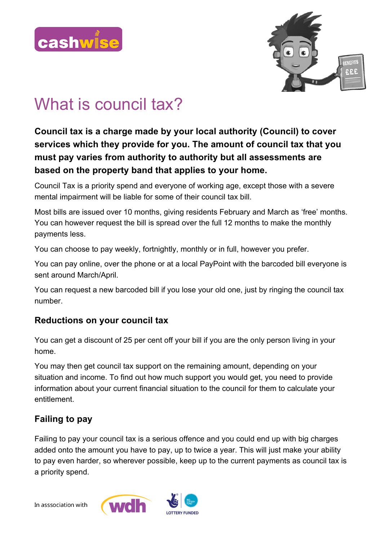



# What is council tax?

**Council tax is a charge made by your local authority (Council) to cover services which they provide for you. The amount of council tax that you must pay varies from authority to authority but all assessments are based on the property band that applies to your home.**

Council Tax is a priority spend and everyone of working age, except those with a severe mental impairment will be liable for some of their council tax bill.

Most bills are issued over 10 months, giving residents February and March as 'free' months. You can however request the bill is spread over the full 12 months to make the monthly payments less.

You can choose to pay weekly, fortnightly, monthly or in full, however you prefer.

You can pay online, over the phone or at a local PayPoint with the barcoded bill everyone is sent around March/April.

You can request a new barcoded bill if you lose your old one, just by ringing the council tax number.

## **Reductions on your council tax**

You can get a discount of 25 per cent off your bill if you are the only person living in your home.

You may then get council tax support on the remaining amount, depending on your situation and income. To find out how much support you would get, you need to provide information about your current financial situation to the council for them to calculate your entitlement.

# **Failing to pay**

Failing to pay your council tax is a serious offence and you could end up with big charges added onto the amount you have to pay, up to twice a year. This will just make your ability to pay even harder, so wherever possible, keep up to the current payments as council tax is a priority spend.